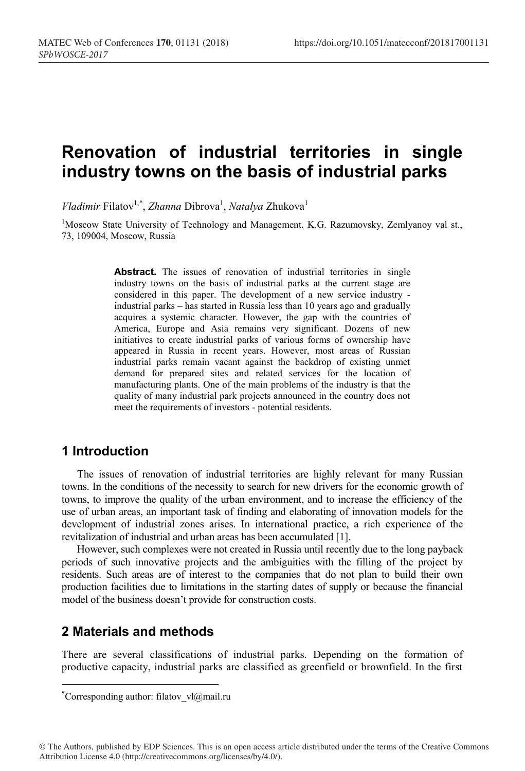# **Renovation of industrial territories in single industry towns on the basis of industrial parks**

*Vladimir* Filatov<sup>1,\*</sup>, *Zhanna* Dibrova<sup>1</sup>, *Natalya* Zhukova<sup>1</sup>

<sup>1</sup>Moscow State University of Technology and Management. K.G. Razumovsky, Zemlyanoy val st., 73, 109004, Moscow, Russia

> Abstract. The issues of renovation of industrial territories in single industry towns on the basis of industrial parks at the current stage are considered in this paper. The development of a new service industry industrial parks – has started in Russia less than 10 years ago and gradually acquires a systemic character. However, the gap with the countries of America, Europe and Asia remains very significant. Dozens of new initiatives to create industrial parks of various forms of ownership have appeared in Russia in recent years. However, most areas of Russian industrial parks remain vacant against the backdrop of existing unmet demand for prepared sites and related services for the location of manufacturing plants. One of the main problems of the industry is that the quality of many industrial park projects announced in the country does not meet the requirements of investors - potential residents.

#### **1 Introduction**

The issues of renovation of industrial territories are highly relevant for many Russian towns. In the conditions of the necessity to search for new drivers for the economic growth of towns, to improve the quality of the urban environment, and to increase the efficiency of the use of urban areas, an important task of finding and elaborating of innovation models for the development of industrial zones arises. In international practice, a rich experience of the revitalization of industrial and urban areas has been accumulated [1].

However, such complexes were not created in Russia until recently due to the long payback periods of such innovative projects and the ambiguities with the filling of the project by residents. Such areas are of interest to the companies that do not plan to build their own production facilities due to limitations in the starting dates of supply or because the financial model of the business doesn't provide for construction costs.

## **2 Materials and methods**

There are several classifications of industrial parks. Depending on the formation of productive capacity, industrial parks are classified as greenfield or brownfield. In the first

© The Authors, published by EDP Sciences. This is an open access article distributed under the terms of the Creative Commons Attribution License 4.0 (http://creativecommons.org/licenses/by/4.0/).

 <sup>\*</sup> \*Corresponding author: filatov  $vl@mail.ru$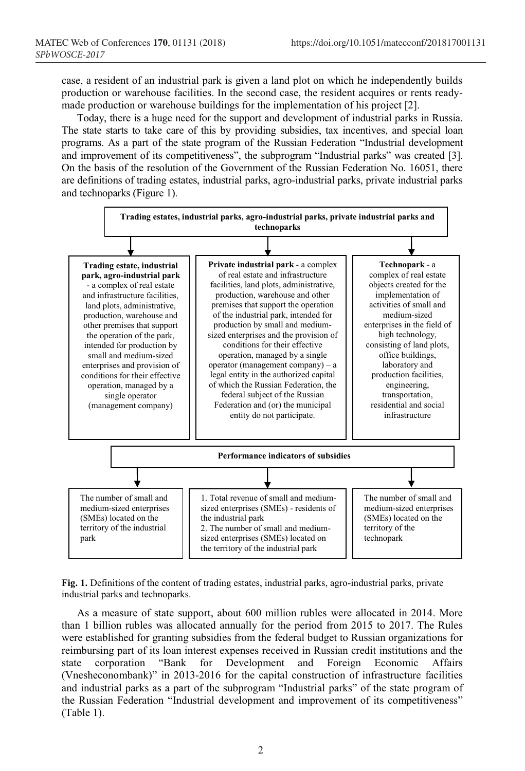case, a resident of an industrial park is given a land plot on which he independently builds production or warehouse facilities. In the second case, the resident acquires or rents readymade production or warehouse buildings for the implementation of his project [2].

Today, there is a huge need for the support and development of industrial parks in Russia. The state starts to take care of this by providing subsidies, tax incentives, and special loan programs. As a part of the state program of the Russian Federation "Industrial development and improvement of its competitiveness", the subprogram "Industrial parks" was created [3]. On the basis of the resolution of the Government of the Russian Federation No. 16051, there are definitions of trading estates, industrial parks, agro-industrial parks, private industrial parks and technoparks (Figure 1).



**Fig. 1.** Definitions of the content of trading estates, industrial parks, agro-industrial parks, private industrial parks and technoparks.

As a measure of state support, about 600 million rubles were allocated in 2014. More than 1 billion rubles was allocated annually for the period from 2015 to 2017. The Rules were established for granting subsidies from the federal budget to Russian organizations for reimbursing part of its loan interest expenses received in Russian credit institutions and the state corporation "Bank for Development and Foreign Economic Affairs (Vnesheconombank)" in 2013-2016 for the capital construction of infrastructure facilities and industrial parks as a part of the subprogram "Industrial parks" of the state program of the Russian Federation "Industrial development and improvement of its competitiveness" (Table 1).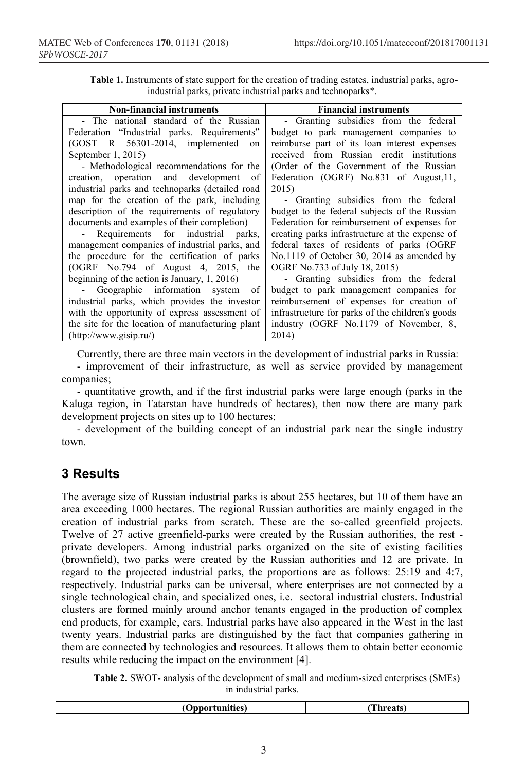| <b>Table 1.</b> Instruments of state support for the creation of trading estates, industrial parks, agro- |  |
|-----------------------------------------------------------------------------------------------------------|--|
| industrial parks, private industrial parks and technoparks*.                                              |  |

| <b>Non-financial instruments</b>                 | <b>Financial instruments</b>                     |
|--------------------------------------------------|--------------------------------------------------|
| - The national standard of the Russian           | - Granting subsidies from the federal            |
| Federation "Industrial parks. Requirements"      | budget to park management companies to           |
| (GOST R 56301-2014, implemented<br>on            | reimburse part of its loan interest expenses     |
| September $1, 2015$                              | received from Russian credit institutions        |
| - Methodological recommendations for the         | (Order of the Government of the Russian          |
| creation, operation and development of           | Federation (OGRF) No.831 of August, 11,          |
| industrial parks and technoparks (detailed road  | 2015)                                            |
| map for the creation of the park, including      | - Granting subsidies from the federal            |
| description of the requirements of regulatory    | budget to the federal subjects of the Russian    |
| documents and examples of their completion)      | Federation for reimbursement of expenses for     |
| - Requirements for industrial parks,             | creating parks infrastructure at the expense of  |
| management companies of industrial parks, and    | federal taxes of residents of parks (OGRF)       |
| the procedure for the certification of parks     | No.1119 of October 30, 2014 as amended by        |
| (OGRF No.794 of August 4, 2015, the              | OGRF No.733 of July 18, 2015)                    |
| beginning of the action is January, $1, 2016$ )  | - Granting subsidies from the federal            |
| Geographic information system<br>of              | budget to park management companies for          |
| industrial parks, which provides the investor    | reimbursement of expenses for creation of        |
| with the opportunity of express assessment of    | infrastructure for parks of the children's goods |
| the site for the location of manufacturing plant | industry (OGRF No.1179 of November, 8,           |
| (http://www.gisip.ru/)                           | 2014)                                            |

Currently, there are three main vectors in the development of industrial parks in Russia:

- improvement of their infrastructure, as well as service provided by management companies;

- quantitative growth, and if the first industrial parks were large enough (parks in the Kaluga region, in Tatarstan have hundreds of hectares), then now there are many park development projects on sites up to 100 hectares;

- development of the building concept of an industrial park near the single industry town.

# **3 Results**

The average size of Russian industrial parks is about 255 hectares, but 10 of them have an area exceeding 1000 hectares. The regional Russian authorities are mainly engaged in the creation of industrial parks from scratch. These are the so-called greenfield projects. Twelve of 27 active greenfield-parks were created by the Russian authorities, the rest private developers. Among industrial parks organized on the site of existing facilities (brownfield), two parks were created by the Russian authorities and 12 are private. In regard to the projected industrial parks, the proportions are as follows: 25:19 and 4:7, respectively. Industrial parks can be universal, where enterprises are not connected by a single technological chain, and specialized ones, i.e. sectoral industrial clusters. Industrial clusters are formed mainly around anchor tenants engaged in the production of complex end products, for example, cars. Industrial parks have also appeared in the West in the last twenty years. Industrial parks are distinguished by the fact that companies gathering in them are connected by technologies and resources. It allows them to obtain better economic results while reducing the impact on the environment [4].

**Table 2.** SWOT- analysis of the development of small and medium-sized enterprises (SMEs) in industrial parks.

|  |  | . )nnor:<br>tunities)<br>" | 'hreats' |
|--|--|----------------------------|----------|
|--|--|----------------------------|----------|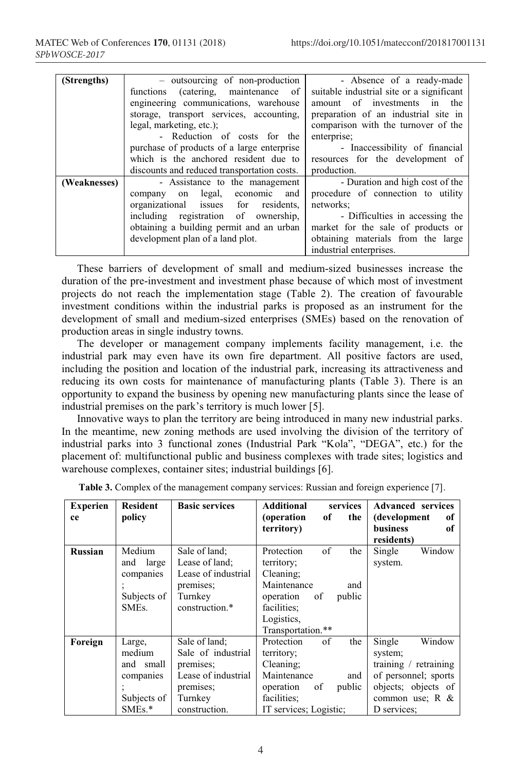|              |                                             | - Absence of a ready-made                 |
|--------------|---------------------------------------------|-------------------------------------------|
| (Strengths)  | - outsourcing of non-production             |                                           |
|              | functions (catering, maintenance of         | suitable industrial site or a significant |
|              | engineering communications, warehouse       | amount of investments in the              |
|              | storage, transport services, accounting,    | preparation of an industrial site in      |
|              | legal, marketing, etc.);                    | comparison with the turnover of the       |
|              | - Reduction of costs for the                | enterprise;                               |
|              | purchase of products of a large enterprise  | - Inaccessibility of financial            |
|              | which is the anchored resident due to       | resources for the development of          |
|              | discounts and reduced transportation costs. | production.                               |
| (Weaknesses) | - Assistance to the management              | - Duration and high cost of the           |
|              | legal, economic and<br>company on           | procedure of connection to utility        |
|              | organizational issues for residents,        | networks:                                 |
|              | including registration of ownership,        | - Difficulties in accessing the           |
|              | obtaining a building permit and an urban    | market for the sale of products or        |
|              | development plan of a land plot.            | obtaining materials from the large        |
|              |                                             | industrial enterprises.                   |

These barriers of development of small and medium-sized businesses increase the duration of the pre-investment and investment phase because of which most of investment projects do not reach the implementation stage (Table 2). The creation of favourable investment conditions within the industrial parks is proposed as an instrument for the development of small and medium-sized enterprises (SMEs) based on the renovation of production areas in single industry towns.

The developer or management company implements facility management, i.e. the industrial park may even have its own fire department. All positive factors are used, including the position and location of the industrial park, increasing its attractiveness and reducing its own costs for maintenance of manufacturing plants (Table 3). There is an opportunity to expand the business by opening new manufacturing plants since the lease of industrial premises on the park's territory is much lower [5].

Innovative ways to plan the territory are being introduced in many new industrial parks. In the meantime, new zoning methods are used involving the division of the territory of industrial parks into 3 functional zones (Industrial Park "Kola", "DEGA", etc.) for the placement of: multifunctional public and business complexes with trade sites; logistics and warehouse complexes, container sites; industrial buildings [6].

| <b>Experien</b> | <b>Resident</b>    | <b>Basic services</b> | <b>Additional</b><br>services | <b>Advanced</b> services |
|-----------------|--------------------|-----------------------|-------------------------------|--------------------------|
| ce              | policy             |                       | (operation)<br>of<br>the      | (development<br>оf       |
|                 |                    |                       | territory)                    | <b>business</b><br>of    |
|                 |                    |                       |                               | residents)               |
| Russian         | Medium             | Sale of land:         | Protection<br>of<br>the       | Single<br>Window         |
|                 | large<br>and       | Lease of land:        | territory;                    | system.                  |
|                 | companies          | Lease of industrial   | Cleaning;                     |                          |
|                 |                    | premises;             | Maintenance<br>and            |                          |
|                 | Subjects of        | Turnkey               | operation<br>οf<br>public     |                          |
|                 | SME <sub>s</sub> . | construction.*        | facilities:                   |                          |
|                 |                    |                       | Logistics.                    |                          |
|                 |                    |                       | Transportation.**             |                          |
| Foreign         | Large,             | Sale of land:         | of<br>Protection<br>the       | Single<br>Window         |
|                 | medium             | Sale of industrial    | territory;                    | system;                  |
|                 | small<br>and       | premises;             | Cleaning;                     | training / retraining    |
|                 | companies          | Lease of industrial   | Maintenance<br>and            | of personnel; sports     |
|                 |                    | premises;             | of<br>operation<br>public     | objects; objects of      |
|                 | Subjects of        | Turnkey               | facilities;                   | common use; $R \&$       |
|                 | $SMEs.*$           | construction.         | IT services; Logistic;        | D services;              |

**Table 3.** Complex of the management company services: Russian and foreign experience [7].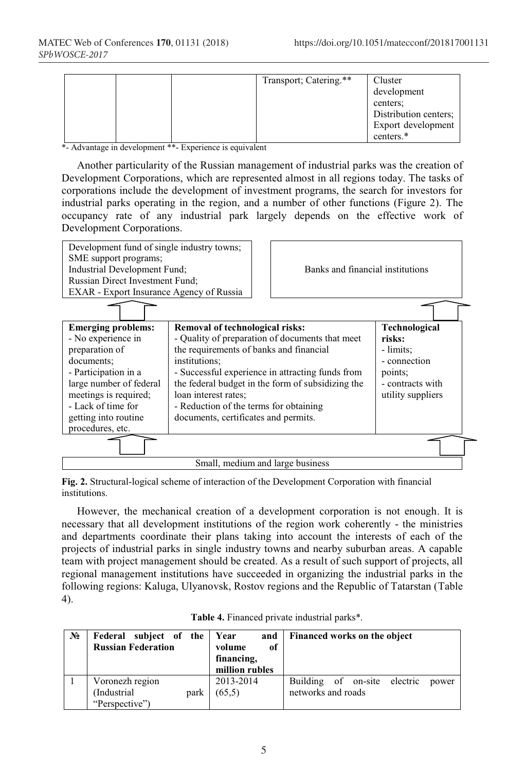|  | Transport; Catering.** | Cluster<br>development<br>centers:<br>Distribution centers;<br>Export development |
|--|------------------------|-----------------------------------------------------------------------------------|
|  |                        | centers.*                                                                         |

\*- Advantage in development \*\*- Experience is equivalent

Another particularity of the Russian management of industrial parks was the creation of Development Corporations, which are represented almost in all regions today. The tasks of corporations include the development of investment programs, the search for investors for industrial parks operating in the region, and a number of other functions (Figure 2). The occupancy rate of any industrial park largely depends on the effective work of Development Corporations.



**Fig. 2.** Structural-logical scheme of interaction of the Development Corporation with financial institutions.

However, the mechanical creation of a development corporation is not enough. It is necessary that all development institutions of the region work coherently - the ministries and departments coordinate their plans taking into account the interests of each of the projects of industrial parks in single industry towns and nearby suburban areas. A capable team with project management should be created. As a result of such support of projects, all regional management institutions have succeeded in organizing the industrial parks in the following regions: Kaluga, Ulyanovsk, Rostov regions and the Republic of Tatarstan (Table 4).

| $N_2$ | Federal subject of the<br><b>Russian Federation</b> |      | and<br>Year<br>оf<br>volume<br>financing,<br>million rubles | Financed works on the object                                   |
|-------|-----------------------------------------------------|------|-------------------------------------------------------------|----------------------------------------------------------------|
|       | Voronezh region<br>(Industrial)<br>"Perspective")   | park | 2013-2014<br>(65,5)                                         | Building of on-site<br>electric<br>power<br>networks and roads |

| Table 4. Financed private industrial parks*. |  |  |  |
|----------------------------------------------|--|--|--|
|----------------------------------------------|--|--|--|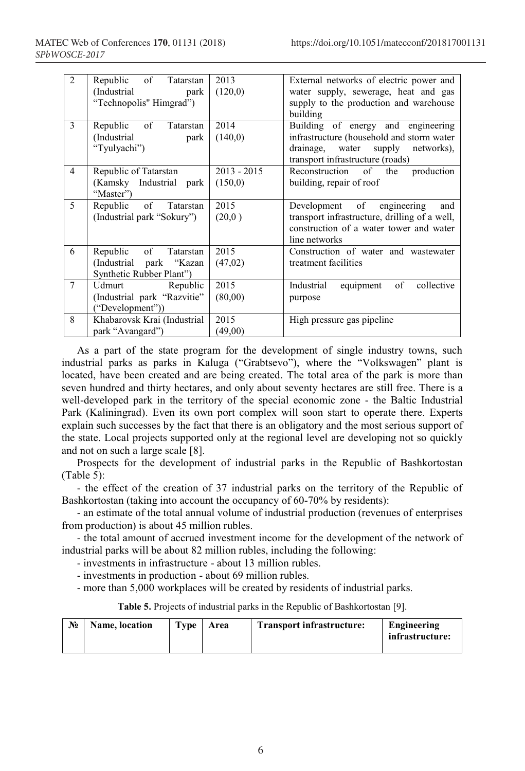| 2              | $\circ$ of<br>Republic<br>Tatarstan<br>(Industrial)<br>park<br>"Technopolis" Himgrad") | 2013<br>(120,0)          | External networks of electric power and<br>water supply, sewerage, heat and gas<br>supply to the production and warehouse<br>building                       |  |  |  |  |
|----------------|----------------------------------------------------------------------------------------|--------------------------|-------------------------------------------------------------------------------------------------------------------------------------------------------------|--|--|--|--|
| 3              | Republic of<br>Tatarstan<br>(Industrial<br>park<br>"Tyulyachi")                        | 2014<br>(140,0)          | Building of energy and engineering<br>infrastructure (household and storm water<br>drainage, water supply<br>networks).<br>transport infrastructure (roads) |  |  |  |  |
| $\overline{4}$ | Republic of Tatarstan<br>(Kamsky Industrial park<br>"Master")                          | $2013 - 2015$<br>(150,0) | Reconstruction of the<br>production<br>building, repair of roof                                                                                             |  |  |  |  |
| 5              | Republic of Tatarstan<br>(Industrial park "Sokury")                                    | 2015<br>(20,0)           | Development of<br>engineering<br>and<br>transport infrastructure, drilling of a well,<br>construction of a water tower and water<br>line networks           |  |  |  |  |
| 6              | Republic of<br>Tatarstan<br>(Industrial park "Kazan<br>Synthetic Rubber Plant")        | 2015<br>(47,02)          | Construction of water and wastewater<br>treatment facilities                                                                                                |  |  |  |  |
| $\tau$         | Udmurt Republic<br>(Industrial park "Razvitie"<br>("Development"))                     | 2015<br>(80,00)          | Industrial<br>equipment<br>of<br>collective<br>purpose                                                                                                      |  |  |  |  |
| 8              | Khabarovsk Krai (Industrial<br>park "Avangard")                                        | 2015<br>(49,00)          | High pressure gas pipeline                                                                                                                                  |  |  |  |  |

As a part of the state program for the development of single industry towns, such industrial parks as parks in Kaluga ("Grabtsevo"), where the "Volkswagen" plant is located, have been created and are being created. The total area of the park is more than seven hundred and thirty hectares, and only about seventy hectares are still free. There is a well-developed park in the territory of the special economic zone - the Baltic Industrial Park (Kaliningrad). Even its own port complex will soon start to operate there. Experts explain such successes by the fact that there is an obligatory and the most serious support of the state. Local projects supported only at the regional level are developing not so quickly and not on such a large scale [8].

Prospects for the development of industrial parks in the Republic of Bashkortostan (Table 5):

- the effect of the creation of 37 industrial parks on the territory of the Republic of Bashkortostan (taking into account the occupancy of 60-70% by residents):

- an estimate of the total annual volume of industrial production (revenues of enterprises from production) is about 45 million rubles.

- the total amount of accrued investment income for the development of the network of industrial parks will be about 82 million rubles, including the following:

- investments in infrastructure - about 13 million rubles.

- investments in production - about 69 million rubles.

- more than 5,000 workplaces will be created by residents of industrial parks.

**Table 5.** Projects of industrial parks in the Republic of Bashkortostan [9].

| No | Name, location | Type | Area | <b>Transport infrastructure:</b> | Engineering<br>infrastructure: |
|----|----------------|------|------|----------------------------------|--------------------------------|
|    |                |      |      |                                  |                                |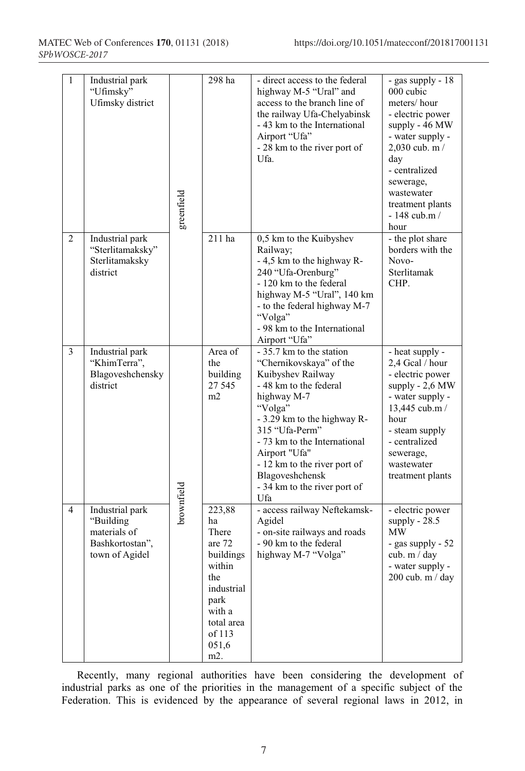| $\mathbf{1}$   | Industrial park<br>"Ufimsky"<br>Ufimsky district                                  | greenfield | 298 ha                                                                                                                                | - direct access to the federal<br>highway M-5 "Ural" and<br>access to the branch line of<br>the railway Ufa-Chelyabinsk<br>- 43 km to the International<br>Airport "Ufa"<br>- 28 km to the river port of<br>Ufa.                                                                                                         | - gas supply - 18<br>000 cubic<br>meters/hour<br>- electric power<br>supply - 46 MW<br>- water supply -<br>$2,030$ cub. m /<br>day<br>- centralized<br>sewerage,<br>wastewater<br>treatment plants<br>$-148$ cub.m /<br>hour |
|----------------|-----------------------------------------------------------------------------------|------------|---------------------------------------------------------------------------------------------------------------------------------------|--------------------------------------------------------------------------------------------------------------------------------------------------------------------------------------------------------------------------------------------------------------------------------------------------------------------------|------------------------------------------------------------------------------------------------------------------------------------------------------------------------------------------------------------------------------|
| 2              | Industrial park<br>"Sterlitamaksky"<br>Sterlitamaksky<br>district                 |            | 211 ha                                                                                                                                | 0,5 km to the Kuibyshev<br>Railway;<br>- 4,5 km to the highway R-<br>240 "Ufa-Orenburg"<br>- 120 km to the federal<br>highway M-5 "Ural", 140 km<br>- to the federal highway M-7<br>"Volga"<br>- 98 km to the International<br>Airport "Ufa"                                                                             | - the plot share<br>borders with the<br>Novo-<br>Sterlitamak<br>CHP.                                                                                                                                                         |
| $\overline{3}$ | Industrial park<br>"KhimTerra",<br>Blagoveshchensky<br>district                   |            | Area of<br>the<br>building<br>27 545<br>m2                                                                                            | - 35.7 km to the station<br>"Chernikovskaya" of the<br>Kuibyshev Railway<br>- 48 km to the federal<br>highway M-7<br>"Volga"<br>- 3.29 km to the highway R-<br>315 "Ufa-Perm"<br>- 73 km to the International<br>Airport "Ufa"<br>- 12 km to the river port of<br>Blagoveshchensk<br>- 34 km to the river port of<br>Ufa | - heat supply -<br>2,4 Gcal / hour<br>- electric power<br>supply - 2,6 MW<br>- water supply -<br>13,445 cub.m /<br>hour<br>- steam supply<br>- centralized<br>sewerage,<br>wastewater<br>treatment plants                    |
| 4              | Industrial park<br>"Building<br>materials of<br>Bashkortostan",<br>town of Agidel | brownfield | 223,88<br>ha<br>There<br>are 72<br>buildings<br>within<br>the<br>industrial<br>park<br>with a<br>total area<br>of 113<br>051,6<br>m2. | - access railway Neftekamsk-<br>Agidel<br>- on-site railways and roads<br>- 90 km to the federal<br>highway M-7 "Volga"                                                                                                                                                                                                  | - electric power<br>supply - $28.5$<br>MW<br>- gas supply - 52<br>cub. $m / day$<br>- water supply -<br>200 cub. m / day                                                                                                     |

Recently, many regional authorities have been considering the development of industrial parks as one of the priorities in the management of a specific subject of the Federation. This is evidenced by the appearance of several regional laws in 2012, in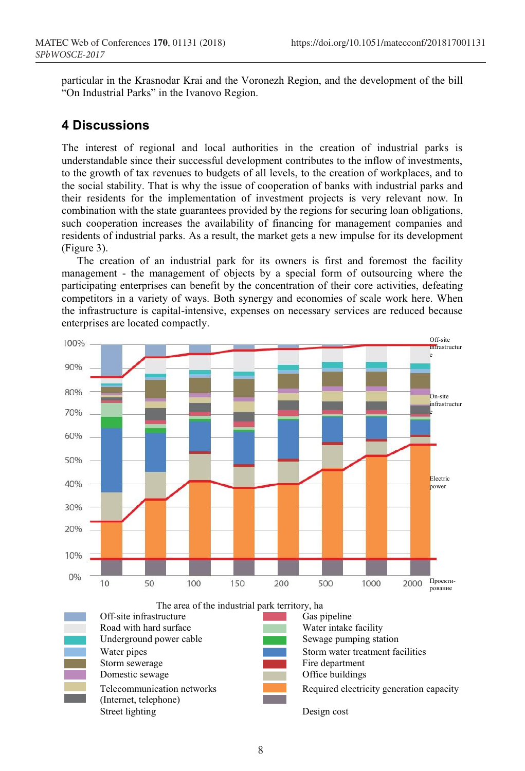particular in the Krasnodar Krai and the Voronezh Region, and the development of the bill "On Industrial Parks" in the Ivanovo Region.

## **4 Discussions**

The interest of regional and local authorities in the creation of industrial parks is understandable since their successful development contributes to the inflow of investments, to the growth of tax revenues to budgets of all levels, to the creation of workplaces, and to the social stability. That is why the issue of cooperation of banks with industrial parks and their residents for the implementation of investment projects is very relevant now. In combination with the state guarantees provided by the regions for securing loan obligations, such cooperation increases the availability of financing for management companies and residents of industrial parks. As a result, the market gets a new impulse for its development (Figure 3).

The creation of an industrial park for its owners is first and foremost the facility management - the management of objects by a special form of outsourcing where the participating enterprises can benefit by the concentration of their core activities, defeating competitors in a variety of ways. Both synergy and economies of scale work here. When the infrastructure is capital-intensive, expenses on necessary services are reduced because enterprises are located compactly.



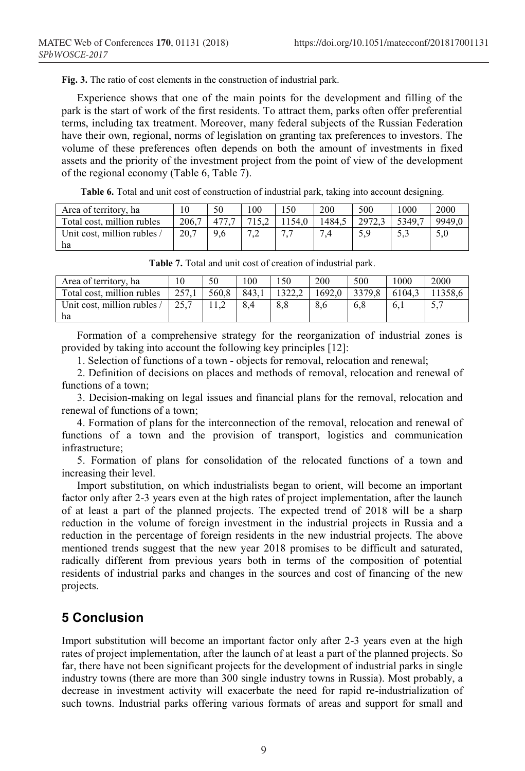**Fig. 3.** The ratio of cost elements in the construction of industrial park.

Experience shows that one of the main points for the development and filling of the park is the start of work of the first residents. To attract them, parks often offer preferential terms, including tax treatment. Moreover, many federal subjects of the Russian Federation have their own, regional, norms of legislation on granting tax preferences to investors. The volume of these preferences often depends on both the amount of investments in fixed assets and the priority of the investment project from the point of view of the development of the regional economy (Table 6, Table 7).

**Table 6.** Total and unit cost of construction of industrial park, taking into account designing.

| Area of territory, ha       |       | 50  | 0 <sub>0</sub> |       | 200    | 500    | 1000   | <b>2000</b> |
|-----------------------------|-------|-----|----------------|-------|--------|--------|--------|-------------|
| Total cost, million rubles  | 206.7 |     |                | 154.0 | 1484.5 | 2972.3 | 5349.7 | 9949.0      |
| Unit cost, million rubles / | 20.7  | 9.6 |                |       | −      |        | ن د ب  | 5,0         |
| ha                          |       |     |                |       |        |        |        |             |

| Area of territory, ha             | 10    | 50    | 100   | 150 | 200    | 500    | 1000   | 2000    |
|-----------------------------------|-------|-------|-------|-----|--------|--------|--------|---------|
| Total cost, million rubles        | 257.1 | 560.8 | 843.1 |     | 1692.0 | 3379.8 | 6104.3 | 11358.6 |
| Unit cost, million rubles /<br>ha | 25.7  |       | 8.4   | 8.8 | 8.6    | 6.8    | 6.1    | 5.7     |

**Table 7.** Total and unit cost of creation of industrial park.

Formation of a comprehensive strategy for the reorganization of industrial zones is provided by taking into account the following key principles [12]:

1. Selection of functions of a town - objects for removal, relocation and renewal;

2. Definition of decisions on places and methods of removal, relocation and renewal of functions of a town;

3. Decision-making on legal issues and financial plans for the removal, relocation and renewal of functions of a town;

4. Formation of plans for the interconnection of the removal, relocation and renewal of functions of a town and the provision of transport, logistics and communication infrastructure;

5. Formation of plans for consolidation of the relocated functions of a town and increasing their level.

Import substitution, on which industrialists began to orient, will become an important factor only after 2-3 years even at the high rates of project implementation, after the launch of at least a part of the planned projects. The expected trend of 2018 will be a sharp reduction in the volume of foreign investment in the industrial projects in Russia and a reduction in the percentage of foreign residents in the new industrial projects. The above mentioned trends suggest that the new year 2018 promises to be difficult and saturated, radically different from previous years both in terms of the composition of potential residents of industrial parks and changes in the sources and cost of financing of the new projects.

## **5 Conclusion**

Import substitution will become an important factor only after 2-3 years even at the high rates of project implementation, after the launch of at least a part of the planned projects. So far, there have not been significant projects for the development of industrial parks in single industry towns (there are more than 300 single industry towns in Russia). Most probably, a decrease in investment activity will exacerbate the need for rapid re-industrialization of such towns. Industrial parks offering various formats of areas and support for small and